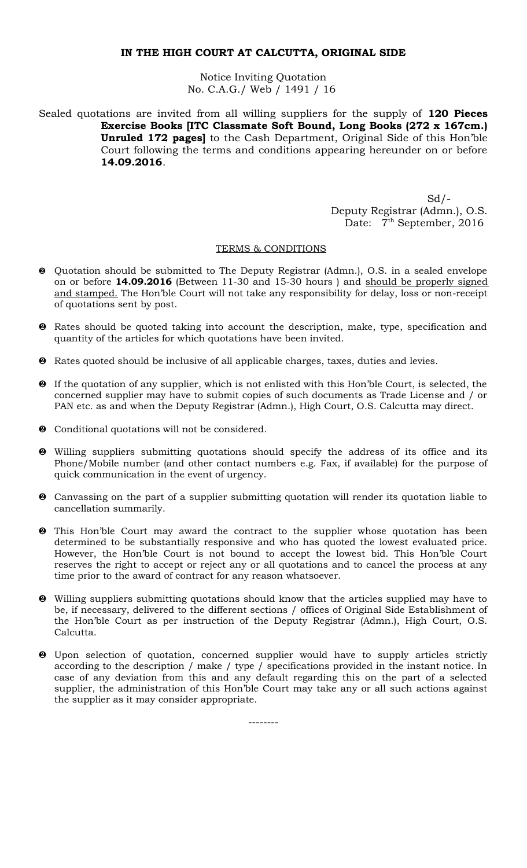Notice Inviting Quotation No. C.A.G./ Web / 1491 / 16

Sealed quotations are invited from all willing suppliers for the supply of **120 Pieces Exercise Books [ITC Classmate Soft Bound, Long Books (272 x 167cm.) Unruled 172 pages]** to the Cash Department, Original Side of this Hon'ble Court following the terms and conditions appearing hereunder on or before **14.09.2016**.

> $Sd$  /- Deputy Registrar (Admn.), O.S. Date:  $7<sup>th</sup>$  September, 2016

# TERMS & CONDITIONS

- Quotation should be submitted to The Deputy Registrar (Admn.), O.S. in a sealed envelope on or before **14.09.2016** (Between 11-30 and 15-30 hours ) and should be properly signed and stamped. The Hon'ble Court will not take any responsibility for delay, loss or non-receipt of quotations sent by post.
- Rates should be quoted taking into account the description, make, type, specification and quantity of the articles for which quotations have been invited.
- **2** Rates quoted should be inclusive of all applicable charges, taxes, duties and levies.
- **2** If the quotation of any supplier, which is not enlisted with this Hon'ble Court, is selected, the concerned supplier may have to submit copies of such documents as Trade License and / or PAN etc. as and when the Deputy Registrar (Admn.), High Court, O.S. Calcutta may direct.
- Conditional quotations will not be considered.
- Willing suppliers submitting quotations should specify the address of its office and its Phone/Mobile number (and other contact numbers e.g. Fax, if available) for the purpose of quick communication in the event of urgency.
- Canvassing on the part of a supplier submitting quotation will render its quotation liable to cancellation summarily.
- This Hon'ble Court may award the contract to the supplier whose quotation has been determined to be substantially responsive and who has quoted the lowest evaluated price. However, the Hon'ble Court is not bound to accept the lowest bid. This Hon'ble Court reserves the right to accept or reject any or all quotations and to cancel the process at any time prior to the award of contract for any reason whatsoever.
- Willing suppliers submitting quotations should know that the articles supplied may have to be, if necessary, delivered to the different sections / offices of Original Side Establishment of the Hon'ble Court as per instruction of the Deputy Registrar (Admn.), High Court, O.S. Calcutta.
- Upon selection of quotation, concerned supplier would have to supply articles strictly according to the description / make / type / specifications provided in the instant notice. In case of any deviation from this and any default regarding this on the part of a selected supplier, the administration of this Hon'ble Court may take any or all such actions against the supplier as it may consider appropriate.

--------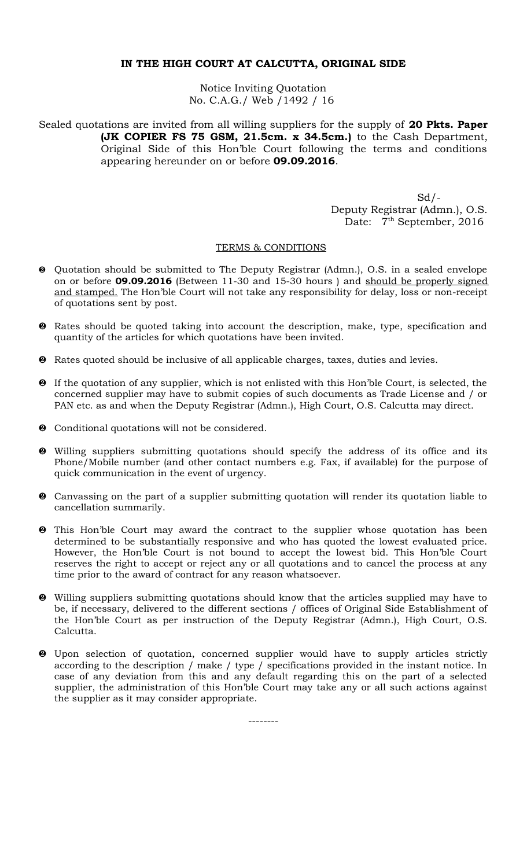Notice Inviting Quotation No. C.A.G./ Web /1492 / 16

Sealed quotations are invited from all willing suppliers for the supply of **20 Pkts. Paper (JK COPIER FS 75 GSM, 21.5cm. x 34.5cm.)** to the Cash Department, Original Side of this Hon'ble Court following the terms and conditions appearing hereunder on or before **09.09.2016**.

> Sd/- Deputy Registrar (Admn.), O.S. Date: 7<sup>th</sup> September, 2016

#### TERMS & CONDITIONS

- Quotation should be submitted to The Deputy Registrar (Admn.), O.S. in a sealed envelope on or before **09.09.2016** (Between 11-30 and 15-30 hours ) and should be properly signed and stamped. The Hon'ble Court will not take any responsibility for delay, loss or non-receipt of quotations sent by post.
- **2** Rates should be quoted taking into account the description, make, type, specification and quantity of the articles for which quotations have been invited.
- Rates quoted should be inclusive of all applicable charges, taxes, duties and levies.
- If the quotation of any supplier, which is not enlisted with this Hon'ble Court, is selected, the concerned supplier may have to submit copies of such documents as Trade License and / or PAN etc. as and when the Deputy Registrar (Admn.), High Court, O.S. Calcutta may direct.
- $\odot$  Conditional quotations will not be considered.
- Willing suppliers submitting quotations should specify the address of its office and its Phone/Mobile number (and other contact numbers e.g. Fax, if available) for the purpose of quick communication in the event of urgency.
- Canvassing on the part of a supplier submitting quotation will render its quotation liable to cancellation summarily.
- This Hon'ble Court may award the contract to the supplier whose quotation has been determined to be substantially responsive and who has quoted the lowest evaluated price. However, the Hon'ble Court is not bound to accept the lowest bid. This Hon'ble Court reserves the right to accept or reject any or all quotations and to cancel the process at any time prior to the award of contract for any reason whatsoever.
- Willing suppliers submitting quotations should know that the articles supplied may have to be, if necessary, delivered to the different sections / offices of Original Side Establishment of the Hon'ble Court as per instruction of the Deputy Registrar (Admn.), High Court, O.S. Calcutta.
- Upon selection of quotation, concerned supplier would have to supply articles strictly according to the description / make / type / specifications provided in the instant notice. In case of any deviation from this and any default regarding this on the part of a selected supplier, the administration of this Hon'ble Court may take any or all such actions against the supplier as it may consider appropriate.

--------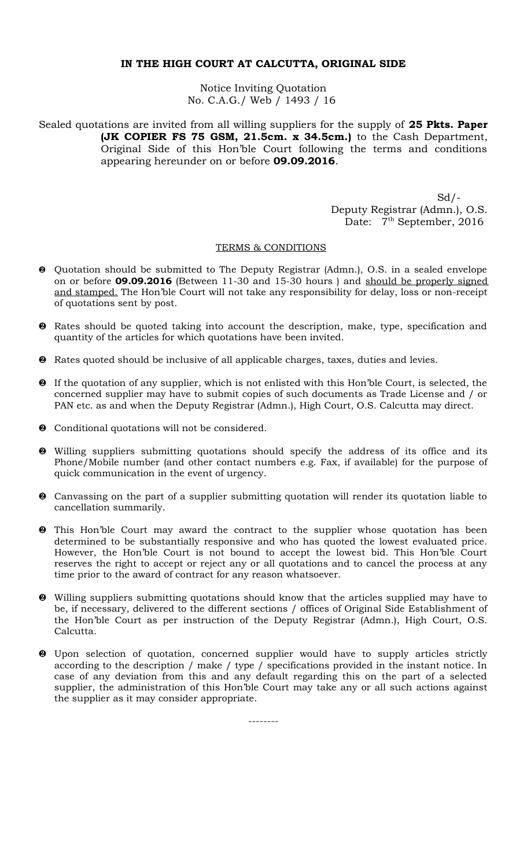Notice Inviting Quotation No. C.A.G./ Web / 1493 / 16

Sealed quotations are invited from all willing suppliers for the supply of **25 Pkts. Paper (JK COPIER FS 75 GSM, 21.5cm. x 34.5cm.)** to the Cash Department, Original Side of this Hon'ble Court following the terms and conditions appearing hereunder on or before **09.09.2016**.

> $Sd$  /- Deputy Registrar (Admn.), O.S. Date: 7<sup>th</sup> September, 2016

#### TERMS & CONDITIONS

- Quotation should be submitted to The Deputy Registrar (Admn.), O.S. in a sealed envelope on or before **09.09.2016** (Between 11-30 and 15-30 hours ) and should be properly signed and stamped. The Hon'ble Court will not take any responsibility for delay, loss or non-receipt of quotations sent by post.
- **2** Rates should be quoted taking into account the description, make, type, specification and quantity of the articles for which quotations have been invited.
- Rates quoted should be inclusive of all applicable charges, taxes, duties and levies.
- If the quotation of any supplier, which is not enlisted with this Hon'ble Court, is selected, the concerned supplier may have to submit copies of such documents as Trade License and / or PAN etc. as and when the Deputy Registrar (Admn.), High Court, O.S. Calcutta may direct.
- $\odot$  Conditional quotations will not be considered.
- Willing suppliers submitting quotations should specify the address of its office and its Phone/Mobile number (and other contact numbers e.g. Fax, if available) for the purpose of quick communication in the event of urgency.
- Canvassing on the part of a supplier submitting quotation will render its quotation liable to cancellation summarily.
- This Hon'ble Court may award the contract to the supplier whose quotation has been determined to be substantially responsive and who has quoted the lowest evaluated price. However, the Hon'ble Court is not bound to accept the lowest bid. This Hon'ble Court reserves the right to accept or reject any or all quotations and to cancel the process at any time prior to the award of contract for any reason whatsoever.
- Willing suppliers submitting quotations should know that the articles supplied may have to be, if necessary, delivered to the different sections / offices of Original Side Establishment of the Hon'ble Court as per instruction of the Deputy Registrar (Admn.), High Court, O.S. Calcutta.
- Upon selection of quotation, concerned supplier would have to supply articles strictly according to the description / make / type / specifications provided in the instant notice. In case of any deviation from this and any default regarding this on the part of a selected supplier, the administration of this Hon'ble Court may take any or all such actions against the supplier as it may consider appropriate.

--------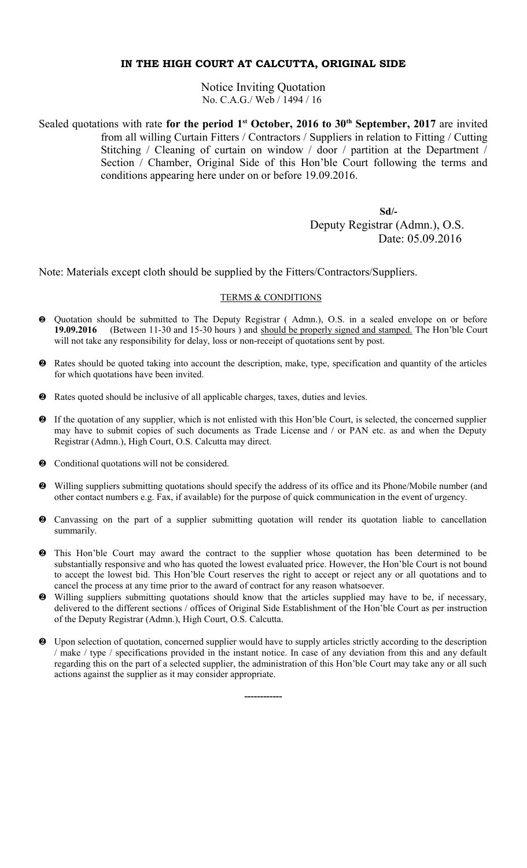Notice Inviting Quotation No. C.A.G./ Web / 1494 / 16

Sealed quotations with rate for the period 1<sup>st</sup> October, 2016 to 30<sup>th</sup> September, 2017 are invited from all willing Curtain Fitters / Contractors / Suppliers in relation to Fitting / Cutting Stitching / Cleaning of curtain on window / door / partition at the Department / Section / Chamber, Original Side of this Hon'ble Court following the terms and conditions appearing here under on or before 19.09.2016.

> **Sd/-** Deputy Registrar (Admn.), O.S. Date: 05.09.2016

Note: Materials except cloth should be supplied by the Fitters/Contractors/Suppliers.

### TERMS & CONDITIONS

- Quotation should be submitted to The Deputy Registrar ( Admn.), O.S. in a sealed envelope on or before **19.09.2016** (Between 11-30 and 15-30 hours ) and should be properly signed and stamped. The Hon'ble Court will not take any responsibility for delay, loss or non-receipt of quotations sent by post.
- Rates should be quoted taking into account the description, make, type, specification and quantity of the articles for which quotations have been invited.
- Rates quoted should be inclusive of all applicable charges, taxes, duties and levies.
- If the quotation of any supplier, which is not enlisted with this Hon'ble Court, is selected, the concerned supplier may have to submit copies of such documents as Trade License and / or PAN etc. as and when the Deputy Registrar (Admn.), High Court, O.S. Calcutta may direct.
- $\bullet$  Conditional quotations will not be considered.
- Willing suppliers submitting quotations should specify the address of its office and its Phone/Mobile number (and other contact numbers e.g. Fax, if available) for the purpose of quick communication in the event of urgency.
- Canvassing on the part of a supplier submitting quotation will render its quotation liable to cancellation summarily.
- This Hon'ble Court may award the contract to the supplier whose quotation has been determined to be substantially responsive and who has quoted the lowest evaluated price. However, the Hon'ble Court is not bound to accept the lowest bid. This Hon'ble Court reserves the right to accept or reject any or all quotations and to cancel the process at any time prior to the award of contract for any reason whatsoever.
- Willing suppliers submitting quotations should know that the articles supplied may have to be, if necessary, delivered to the different sections / offices of Original Side Establishment of the Hon'ble Court as per instruction of the Deputy Registrar (Admn.), High Court, O.S. Calcutta.
- Upon selection of quotation, concerned supplier would have to supply articles strictly according to the description / make / type / specifications provided in the instant notice. In case of any deviation from this and any default regarding this on the part of a selected supplier, the administration of this Hon'ble Court may take any or all such actions against the supplier as it may consider appropriate.

**------------**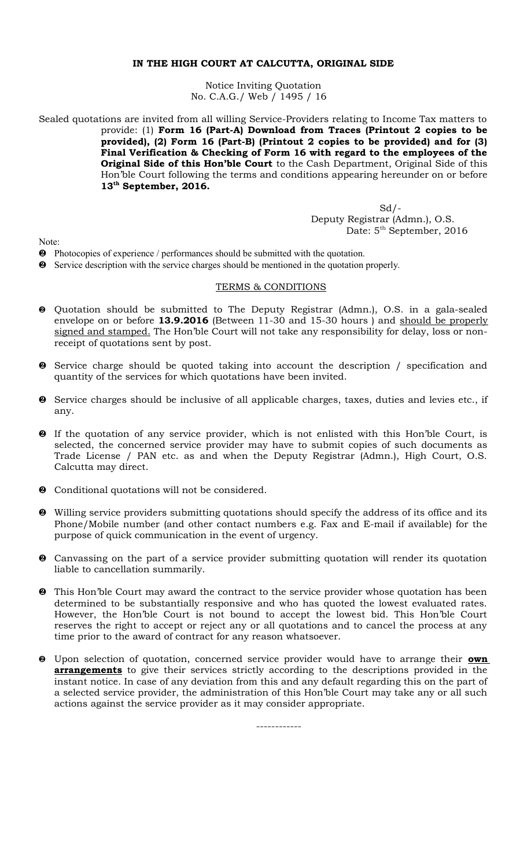Notice Inviting Quotation No. C.A.G./ Web / 1495 / 16

Sealed quotations are invited from all willing Service-Providers relating to Income Tax matters to provide: (1) **Form 16 (Part-A) Download from Traces (Printout 2 copies to be provided), (2) Form 16 (Part-B) (Printout 2 copies to be provided) and for (3) Final Verification & Checking of Form 16 with regard to the employees of the Original Side of this Hon'ble Court** to the Cash Department, Original Side of this Hon'ble Court following the terms and conditions appearing hereunder on or before **13th September, 2016.**

> $Sd$  /- Deputy Registrar (Admn.), O.S. Date: 5<sup>th</sup> September, 2016

Note:

- Photocopies of experience / performances should be submitted with the quotation.
- Service description with the service charges should be mentioned in the quotation properly.

### TERMS & CONDITIONS

- Quotation should be submitted to The Deputy Registrar (Admn.), O.S. in a gala-sealed envelope on or before **13.9.2016** (Between 11-30 and 15-30 hours ) and should be properly signed and stamped. The Hon'ble Court will not take any responsibility for delay, loss or nonreceipt of quotations sent by post.
- Service charge should be quoted taking into account the description / specification and quantity of the services for which quotations have been invited.
- Service charges should be inclusive of all applicable charges, taxes, duties and levies etc., if any.
- If the quotation of any service provider, which is not enlisted with this Hon'ble Court, is selected, the concerned service provider may have to submit copies of such documents as Trade License / PAN etc. as and when the Deputy Registrar (Admn.), High Court, O.S. Calcutta may direct.
- $\bullet$  Conditional quotations will not be considered.
- Willing service providers submitting quotations should specify the address of its office and its Phone/Mobile number (and other contact numbers e.g. Fax and E-mail if available) for the purpose of quick communication in the event of urgency.
- Canvassing on the part of a service provider submitting quotation will render its quotation liable to cancellation summarily.
- $\bullet$  This Hon'ble Court may award the contract to the service provider whose quotation has been determined to be substantially responsive and who has quoted the lowest evaluated rates. However, the Hon'ble Court is not bound to accept the lowest bid. This Hon'ble Court reserves the right to accept or reject any or all quotations and to cancel the process at any time prior to the award of contract for any reason whatsoever.
- Upon selection of quotation, concerned service provider would have to arrange their **own arrangements** to give their services strictly according to the descriptions provided in the instant notice. In case of any deviation from this and any default regarding this on the part of a selected service provider, the administration of this Hon'ble Court may take any or all such actions against the service provider as it may consider appropriate.

------------